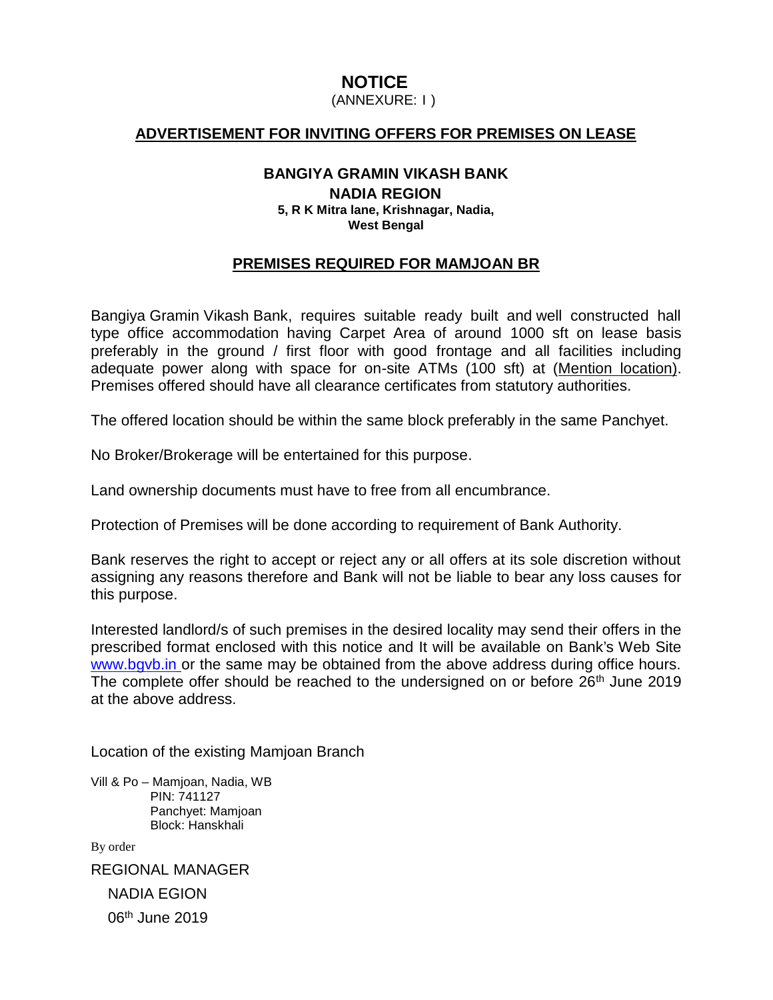**NOTICE**<br>(ANNEXURE: 1) **NOTICE**<br>(ANNEXURE: I )<br>ITING OFFERS FOR

# **ADVERTISEMENT FOR INVITING OFFERS FOR PREMISES ON LEASE**

### **BANGIYA GRAMIN VIKASH BANK NADIA REGION 5, R K Mitra lane, Krishnagar, Nadia, West Bengal**

## **PREMISES REQUIRED FOR MAMJOAN BR**

Bangiya Gramin Vikash Bank, requires suitable ready built and well constructed hall type office accommodation having Carpet Area of around 1000 sft on lease basis preferably in the ground / first floor with good frontage and all facilities including adequate power along with space for on-site ATMs (100 sft) at (Mention location). Premises offered should have all clearance certificates from statutory authorities.

The offered location should be within the same block preferably in the same Panchyet.

No Broker/Brokerage will be entertained for this purpose.

Land ownership documents must have to free from all encumbrance.

Protection of Premises will be done according to requirement of Bank Authority.

Bank reserves the right to accept or reject any or all offers at its sole discretion without assigning any reasons therefore and Bank will not be liable to bear any loss causes for this purpose.

Interested landlord/s of such premises in the desired locality may send their offers in the prescribed format enclosed with this notice and It will be available on Bank's Web Site www.bgvb.in or the same may be obtained from the above address during office hours. The complete offer should be reached to the undersigned on or before 26<sup>th</sup> June 2019 at the above address.

Location of the existing Mamjoan Branch

Vill & Po – Mamjoan, Nadia, WB PIN: 741127 Panchyet: Mamjoan Block: Hanskhali

By order

REGIONAL MANAGER NADIA EGION 06<sup>th</sup> June 2019